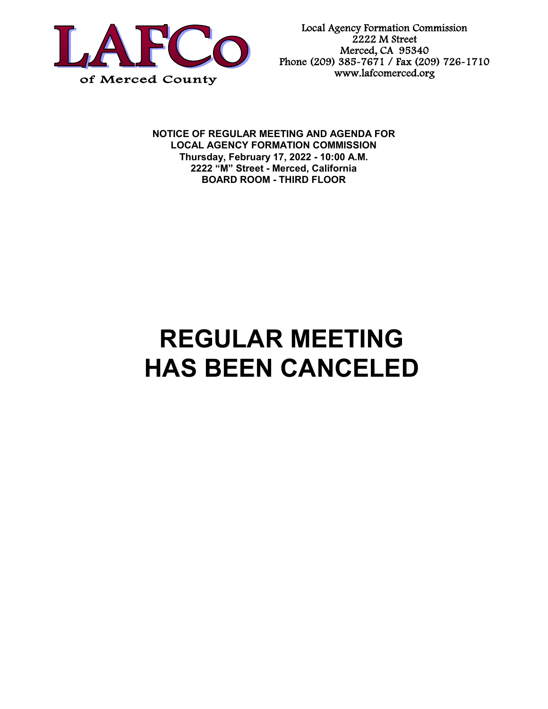

Local Agency Formation Commission 2222 M Street Merced, CA 95340 Phone (209) 385-7671 / Fax (209) 726-1710 www.lafcomerced.org

**NOTICE OF REGULAR MEETING AND AGENDA FOR LOCAL AGENCY FORMATION COMMISSION Thursday, February 17, 2022 - 10:00 A.M. 2222 "M" Street - Merced, California BOARD ROOM - THIRD FLOOR**

## **REGULAR MEETING HAS BEEN CANCELED**